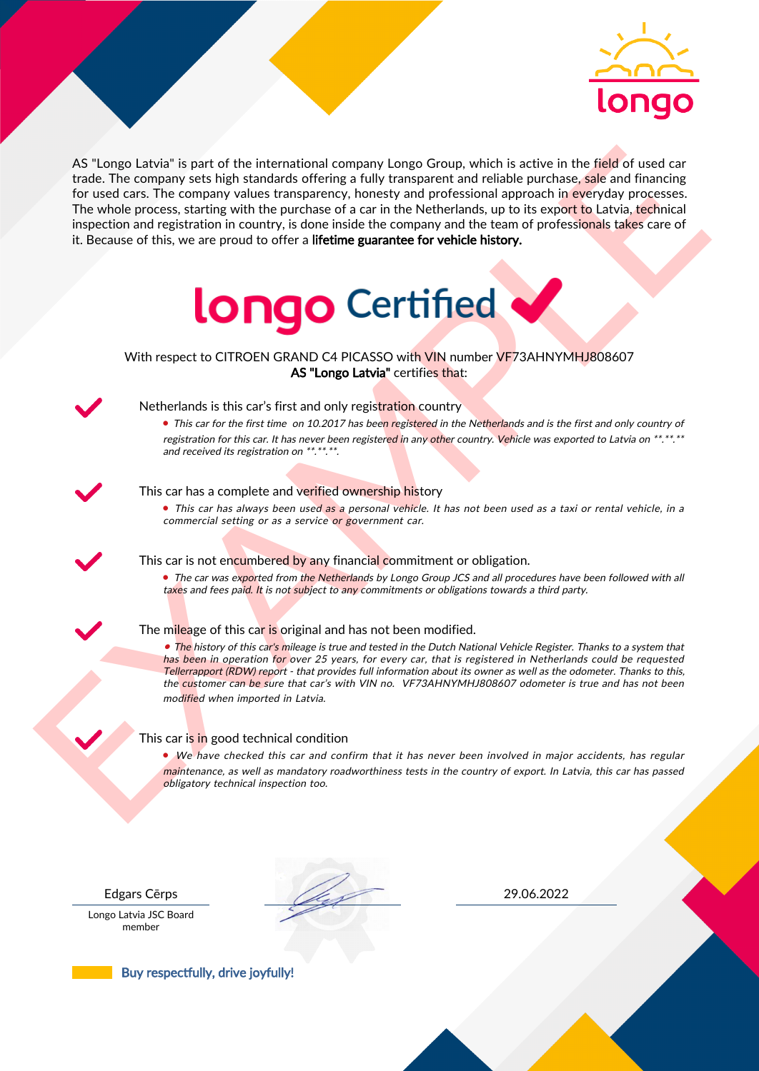

As the nearest the intermediate computer is a proposed on the set of the nearest of the set of the set of the set of the set of the set of the set of the set of the set of the set of the set of the set of the set of the s AS "Longo Latvia" is part of the international company Longo Group, which is active in the field of used car trade. The company sets high standards offering a fully transparent and reliable purchase, sale and financing for used cars. The company values transparency, honesty and professional approach in everyday processes. The whole process, starting with the purchase of a car in the Netherlands, up to its export to Latvia, technical inspection and registration in country, is done inside the company and the team of professionals takes care of it. Because of this, we are proud to offer a lifetime guarantee for vehicle history.



# With respect to CITROEN GRAND C4 PICASSO with VIN number VF73AHNYMHJ808607 AS "Longo Latvia" certifies that:



# Netherlands is this car's first and only registration country

• This car for the first time on 10.2017 has been registered in the Netherlands and is the first and only country of registration for this car. It has never been registered in any other country. Vehicle was exported to Latvia on \*\*.\*\*.\*\* and received its registration on \*\*.\*\*.\*\*.

## This car has a complete and verified ownership history

• This car has always been used as a personal vehicle. It has not been used as a taxi or rental vehicle, in a commercial setting or as a service or government car.

This car is not encumbered by any financial commitment or obligation.

• The car was exported from the Netherlands by Longo Group JCS and all procedures have been followed with all taxes and fees paid. It is not subject to any commitments or obligations towards a third party.

### The mileage of this car is original and has not been modified.

• The history of this car's mileage is true and tested in the Dutch National Vehicle Register. Thanks to a system that has been in operation for over 25 years, for every car, that is registered in Netherlands could be requested Tellerrapport (RDW) report - that provides full information about its owner as well as the odometer. Thanks to this, the customer can be sure that car's with VIN no. VF73AHNYMHJ808607 odometer is true and has not been modified when imported in Latvia.

### This car is in good technical condition

• We have checked this car and confirm that it has never been involved in major accidents, has regular maintenance, as well as mandatory roadworthiness tests in the country of export. In Latvia, this car has passed obligatory technical inspection too.

Longo Latvia JSC Board member

Edgars Cērps 29.06.2022

Buy respectfully, drive joyfully!